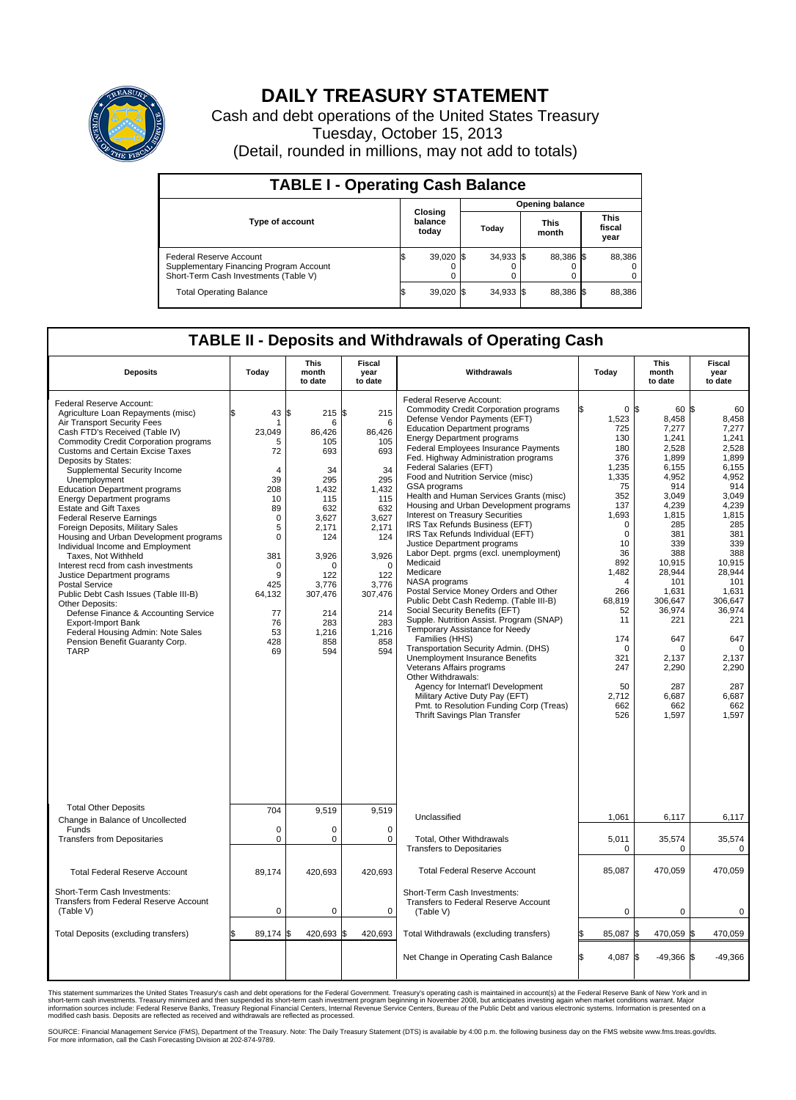

## **DAILY TREASURY STATEMENT**

Cash and debt operations of the United States Treasury Tuesday, October 15, 2013 (Detail, rounded in millions, may not add to totals)

| <b>TABLE I - Operating Cash Balance</b>                                                                     |  |                             |       |             |  |                      |  |                               |  |  |  |
|-------------------------------------------------------------------------------------------------------------|--|-----------------------------|-------|-------------|--|----------------------|--|-------------------------------|--|--|--|
|                                                                                                             |  | <b>Opening balance</b>      |       |             |  |                      |  |                               |  |  |  |
| <b>Type of account</b>                                                                                      |  | Closing<br>balance<br>today | Today |             |  | <b>This</b><br>month |  | <b>This</b><br>fiscal<br>year |  |  |  |
| Federal Reserve Account<br>Supplementary Financing Program Account<br>Short-Term Cash Investments (Table V) |  | $39,020$ \$                 |       | $34,933$ \$ |  | 88.386 \$            |  | 88,386                        |  |  |  |
| <b>Total Operating Balance</b>                                                                              |  | $39,020$ \$                 |       | $34,933$ \$ |  | 88,386 \$            |  | 88,386                        |  |  |  |

## **TABLE II - Deposits and Withdrawals of Operating Cash**

| <b>Deposits</b>                                                                                                                                                                                                                                                                                                                                                                                                                                                                                                                                                                                                                                                                                                                                                                                                                                                                                           | Today                                                                                                                                                                              | This<br>month<br>to date                                                                                                                                                                   | Fiscal<br>year<br>to date                                                                                                                                                          | Withdrawals                                                                                                                                                                                                                                                                                                                                                                                                                                                                                                                                                                                                                                                                                                                                                                                                                                                                                                                                                                                                                                                                                                                                                                                     | Today                                                                                                                                                                                                                                                                         | This<br>month<br>to date                                                                                                                                                                                                                                                            | <b>Fiscal</b><br>year<br>to date                                                                                                                                                                                                                                     |
|-----------------------------------------------------------------------------------------------------------------------------------------------------------------------------------------------------------------------------------------------------------------------------------------------------------------------------------------------------------------------------------------------------------------------------------------------------------------------------------------------------------------------------------------------------------------------------------------------------------------------------------------------------------------------------------------------------------------------------------------------------------------------------------------------------------------------------------------------------------------------------------------------------------|------------------------------------------------------------------------------------------------------------------------------------------------------------------------------------|--------------------------------------------------------------------------------------------------------------------------------------------------------------------------------------------|------------------------------------------------------------------------------------------------------------------------------------------------------------------------------------|-------------------------------------------------------------------------------------------------------------------------------------------------------------------------------------------------------------------------------------------------------------------------------------------------------------------------------------------------------------------------------------------------------------------------------------------------------------------------------------------------------------------------------------------------------------------------------------------------------------------------------------------------------------------------------------------------------------------------------------------------------------------------------------------------------------------------------------------------------------------------------------------------------------------------------------------------------------------------------------------------------------------------------------------------------------------------------------------------------------------------------------------------------------------------------------------------|-------------------------------------------------------------------------------------------------------------------------------------------------------------------------------------------------------------------------------------------------------------------------------|-------------------------------------------------------------------------------------------------------------------------------------------------------------------------------------------------------------------------------------------------------------------------------------|----------------------------------------------------------------------------------------------------------------------------------------------------------------------------------------------------------------------------------------------------------------------|
| Federal Reserve Account:<br>Agriculture Loan Repayments (misc)<br>Air Transport Security Fees<br>Cash FTD's Received (Table IV)<br><b>Commodity Credit Corporation programs</b><br><b>Customs and Certain Excise Taxes</b><br>Deposits by States:<br>Supplemental Security Income<br>Unemployment<br><b>Education Department programs</b><br>Energy Department programs<br><b>Estate and Gift Taxes</b><br><b>Federal Reserve Earnings</b><br>Foreign Deposits, Military Sales<br>Housing and Urban Development programs<br>Individual Income and Employment<br>Taxes, Not Withheld<br>Interest recd from cash investments<br>Justice Department programs<br><b>Postal Service</b><br>Public Debt Cash Issues (Table III-B)<br>Other Deposits:<br>Defense Finance & Accounting Service<br><b>Export-Import Bank</b><br>Federal Housing Admin: Note Sales<br>Pension Benefit Guaranty Corp.<br><b>TARP</b> | ፍ<br>43<br>23,049<br>5<br>72<br>$\overline{4}$<br>39<br>208<br>10<br>89<br>$\Omega$<br>5<br>$\mathbf 0$<br>381<br>$\mathbf 0$<br>9<br>425<br>64,132<br>77<br>76<br>53<br>428<br>69 | l\$<br>215S<br>6<br>86.426<br>105<br>693<br>34<br>295<br>1,432<br>115<br>632<br>3,627<br>2,171<br>124<br>3,926<br>$\Omega$<br>122<br>3,776<br>307,476<br>214<br>283<br>1,216<br>858<br>594 | 215<br>6<br>86.426<br>105<br>693<br>34<br>295<br>1,432<br>115<br>632<br>3,627<br>2,171<br>124<br>3,926<br>$\Omega$<br>122<br>3,776<br>307,476<br>214<br>283<br>1.216<br>858<br>594 | Federal Reserve Account:<br><b>Commodity Credit Corporation programs</b><br>Defense Vendor Payments (EFT)<br><b>Education Department programs</b><br><b>Energy Department programs</b><br><b>Federal Employees Insurance Payments</b><br>Fed. Highway Administration programs<br>Federal Salaries (EFT)<br>Food and Nutrition Service (misc)<br><b>GSA</b> programs<br>Health and Human Services Grants (misc)<br>Housing and Urban Development programs<br>Interest on Treasury Securities<br>IRS Tax Refunds Business (EFT)<br>IRS Tax Refunds Individual (EFT)<br>Justice Department programs<br>Labor Dept. prgms (excl. unemployment)<br>Medicaid<br>Medicare<br>NASA programs<br>Postal Service Money Orders and Other<br>Public Debt Cash Redemp. (Table III-B)<br>Social Security Benefits (EFT)<br>Supple, Nutrition Assist, Program (SNAP)<br>Temporary Assistance for Needy<br>Families (HHS)<br>Transportation Security Admin. (DHS)<br>Unemployment Insurance Benefits<br>Veterans Affairs programs<br>Other Withdrawals:<br>Agency for Internat'l Development<br>Military Active Duty Pay (EFT)<br>Pmt. to Resolution Funding Corp (Treas)<br><b>Thrift Savings Plan Transfer</b> | $\mathbf 0$<br>l\$<br>1,523<br>725<br>130<br>180<br>376<br>1.235<br>1,335<br>75<br>352<br>137<br>1,693<br>$\mathbf 0$<br>$\mathbf 0$<br>10<br>36<br>892<br>1,482<br>$\overline{4}$<br>266<br>68,819<br>52<br>11<br>174<br>$\Omega$<br>321<br>247<br>50<br>2,712<br>662<br>526 | <b>S</b><br>60 \$<br>8.458<br>7,277<br>1,241<br>2.528<br>1,899<br>6.155<br>4,952<br>914<br>3,049<br>4,239<br>1,815<br>285<br>381<br>339<br>388<br>10,915<br>28,944<br>101<br>1,631<br>306,647<br>36,974<br>221<br>647<br>$\Omega$<br>2,137<br>2,290<br>287<br>6,687<br>662<br>1,597 | 60<br>8.458<br>7,277<br>1,241<br>2.528<br>1,899<br>6.155<br>4,952<br>914<br>3,049<br>4.239<br>1,815<br>285<br>381<br>339<br>388<br>10,915<br>28.944<br>101<br>1,631<br>306.647<br>36,974<br>221<br>647<br>$\Omega$<br>2,137<br>2,290<br>287<br>6,687<br>662<br>1,597 |
| <b>Total Other Deposits</b><br>Change in Balance of Uncollected                                                                                                                                                                                                                                                                                                                                                                                                                                                                                                                                                                                                                                                                                                                                                                                                                                           | 704                                                                                                                                                                                | 9,519                                                                                                                                                                                      | 9,519                                                                                                                                                                              | Unclassified                                                                                                                                                                                                                                                                                                                                                                                                                                                                                                                                                                                                                                                                                                                                                                                                                                                                                                                                                                                                                                                                                                                                                                                    | 1,061                                                                                                                                                                                                                                                                         | 6,117                                                                                                                                                                                                                                                                               | 6,117                                                                                                                                                                                                                                                                |
| Funds<br><b>Transfers from Depositaries</b>                                                                                                                                                                                                                                                                                                                                                                                                                                                                                                                                                                                                                                                                                                                                                                                                                                                               | 0<br>$\mathbf 0$                                                                                                                                                                   | 0<br>0                                                                                                                                                                                     | $\mathbf 0$<br>$\mathbf 0$                                                                                                                                                         | Total, Other Withdrawals<br><b>Transfers to Depositaries</b>                                                                                                                                                                                                                                                                                                                                                                                                                                                                                                                                                                                                                                                                                                                                                                                                                                                                                                                                                                                                                                                                                                                                    | 5,011<br>0                                                                                                                                                                                                                                                                    | 35,574<br>$\mathbf 0$                                                                                                                                                                                                                                                               | 35,574<br>$\Omega$                                                                                                                                                                                                                                                   |
| <b>Total Federal Reserve Account</b>                                                                                                                                                                                                                                                                                                                                                                                                                                                                                                                                                                                                                                                                                                                                                                                                                                                                      | 89,174                                                                                                                                                                             | 420,693                                                                                                                                                                                    | 420,693                                                                                                                                                                            | <b>Total Federal Reserve Account</b>                                                                                                                                                                                                                                                                                                                                                                                                                                                                                                                                                                                                                                                                                                                                                                                                                                                                                                                                                                                                                                                                                                                                                            | 85,087                                                                                                                                                                                                                                                                        | 470.059                                                                                                                                                                                                                                                                             | 470,059                                                                                                                                                                                                                                                              |
| Short-Term Cash Investments:<br>Transfers from Federal Reserve Account<br>(Table V)                                                                                                                                                                                                                                                                                                                                                                                                                                                                                                                                                                                                                                                                                                                                                                                                                       | 0                                                                                                                                                                                  | 0                                                                                                                                                                                          | 0                                                                                                                                                                                  | Short-Term Cash Investments:<br>Transfers to Federal Reserve Account<br>(Table V)                                                                                                                                                                                                                                                                                                                                                                                                                                                                                                                                                                                                                                                                                                                                                                                                                                                                                                                                                                                                                                                                                                               | 0                                                                                                                                                                                                                                                                             | $\mathbf 0$                                                                                                                                                                                                                                                                         | 0                                                                                                                                                                                                                                                                    |
| Total Deposits (excluding transfers)                                                                                                                                                                                                                                                                                                                                                                                                                                                                                                                                                                                                                                                                                                                                                                                                                                                                      | 89,174 \$<br>\$                                                                                                                                                                    | 420,693 \$                                                                                                                                                                                 | 420,693                                                                                                                                                                            | Total Withdrawals (excluding transfers)                                                                                                                                                                                                                                                                                                                                                                                                                                                                                                                                                                                                                                                                                                                                                                                                                                                                                                                                                                                                                                                                                                                                                         | 85,087                                                                                                                                                                                                                                                                        | 470,059<br>\$                                                                                                                                                                                                                                                                       | 1\$<br>470,059                                                                                                                                                                                                                                                       |
|                                                                                                                                                                                                                                                                                                                                                                                                                                                                                                                                                                                                                                                                                                                                                                                                                                                                                                           |                                                                                                                                                                                    |                                                                                                                                                                                            |                                                                                                                                                                                    | Net Change in Operating Cash Balance                                                                                                                                                                                                                                                                                                                                                                                                                                                                                                                                                                                                                                                                                                                                                                                                                                                                                                                                                                                                                                                                                                                                                            | Ŝ.<br>4,087                                                                                                                                                                                                                                                                   | S.<br>$-49,366$ \$                                                                                                                                                                                                                                                                  | $-49,366$                                                                                                                                                                                                                                                            |

This statement summarizes the United States Treasury's cash and debt operations for the Federal Government. Treasury's operating cash is maintained in account(s) at the Federal Reserve Bank of New York and in<br>short-term ca

SOURCE: Financial Management Service (FMS), Department of the Treasury. Note: The Daily Treasury Statement (DTS) is available by 4:00 p.m. the following business day on the FMS website www.fms.treas.gov/dts.<br>For more infor